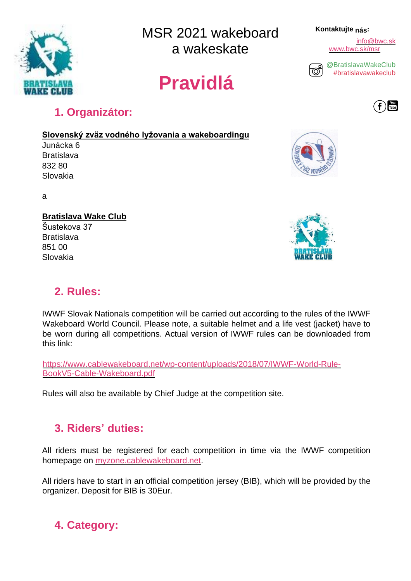

MSR 2021 wakeboard a wakeskate

# **Pravidlá**

#### **Kontaktujte nás:**

info@bwc.sk [www.bwc.sk/msr](http://www.bwc.sk/msr2020)



[@BratislavaWakeClub](https://www.instagram.com/goldenwaketour/) [#bratislavawakeclub](https://www.instagram.com/explore/tags/goldenwaketour/)



## **1. Organizátor:**

**Slovenský zväz vodného lyžovania a wakeboardingu**

Junácka 6 **Bratislava** 832 80 Slovakia

a

### **Bratislava Wake Club**

Šustekova 37 Bratislava 851 00 Slovakia

## **2. Rules:**

IWWF Slovak Nationals competition will be carried out according to the rules of the IWWF Wakeboard World Council. Please note, a suitable helmet and a life vest (jacket) have to be worn during all competitions. Actual version of IWWF rules can be downloaded from this link:

[https://www.cablewakeboard.net/wp-content/uploads/2018/07/IWWF-World-Rule-](https://www.cablewakeboard.net/wp-content/uploads/2018/07/IWWF-World-Rule-Book-V5-Cable-Wakeboard.pdf)[BookV5-Cable-Wakeboard.pdf](https://www.cablewakeboard.net/wp-content/uploads/2018/07/IWWF-World-Rule-Book-V5-Cable-Wakeboard.pdf)

Rules will also be available by Chief Judge at the competition site.

## **3. Riders' duties:**

All riders must be registered for each competition in time via the IWWF competition homepage o[n](http://myzone.cablewakeboard.net/) [myzone.cablewakeboard.net.](http://myzone.cablewakeboard.net/)

All riders have to start in an official competition jersey (BIB), which will be provided by the organizer. Deposit for BIB is 30Eur.

## **4. Category:**





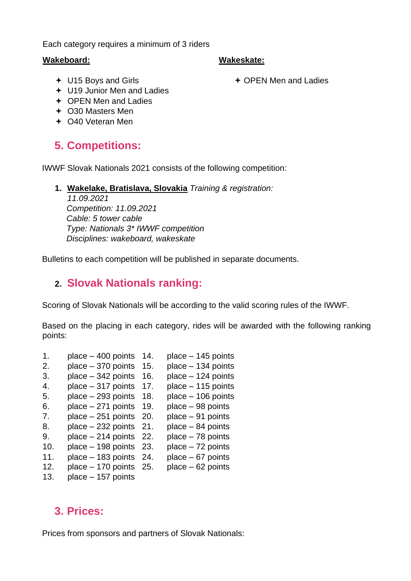Each category requires a minimum of 3 riders

#### **Wakeboard:**

#### **Wakeskate:**

U15 Boys and Girls

OPEN Men and Ladies

- U19 Junior Men and Ladies
- ← OPEN Men and Ladies
- O30 Masters Men
- O40 Veteran Men

## **5. Competitions:**

IWWF Slovak Nationals 2021 consists of the following competition:

**1. Wakelake, Bratislava, Slovakia** *Training & registration:* 

*11.09.2021 Competition: 11.09.2021 Cable: 5 tower cable Type: Nationals 3\* IWWF competition Disciplines: wakeboard, wakeskate* 

Bulletins to each competition will be published in separate documents.

## **2. Slovak Nationals ranking:**

Scoring of Slovak Nationals will be according to the valid scoring rules of the IWWF.

Based on the placing in each category, rides will be awarded with the following ranking points:

- 1. place 400 points 14. place 145 points
- 2. place  $-370$  points 15. place  $-134$  points
- 3. place  $-342$  points 16. place  $-124$  points
- 4. place 317 points 17. place 115 points
- 5. place 293 points 18. place 106 points
- 6. place  $-271$  points 19. place  $-98$  points
- 7. place 251 points 20. place 91 points
- 8. place  $-232$  points 21. place  $-84$  points
- 9. place 214 points 22. place 78 points
- 10. place 198 points 23. place 72 points
- 11. place 183 points 24. place 67 points
- 12. place 170 points 25. place 62 points
- 13. place 157 points

## **3. Prices:**

Prices from sponsors and partners of Slovak Nationals: